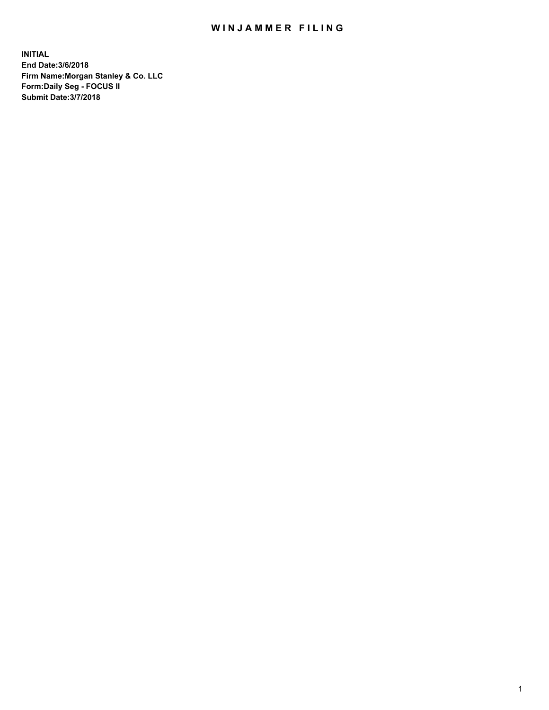## WIN JAMMER FILING

**INITIAL End Date:3/6/2018 Firm Name:Morgan Stanley & Co. LLC Form:Daily Seg - FOCUS II Submit Date:3/7/2018**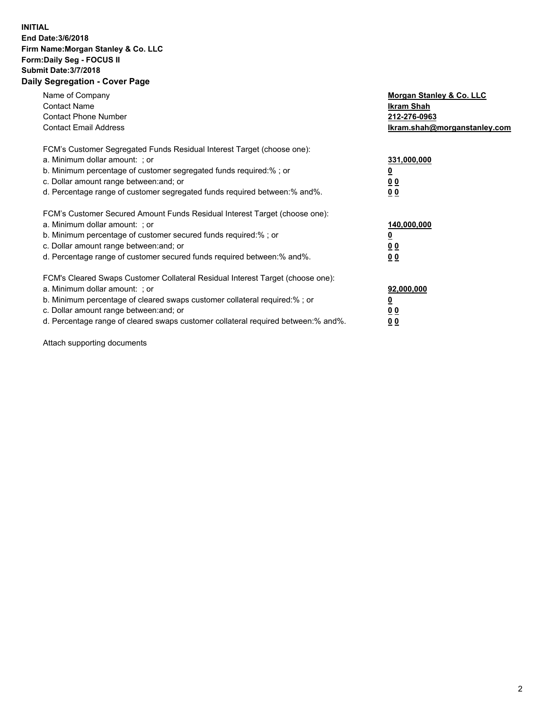## **INITIAL End Date:3/6/2018 Firm Name:Morgan Stanley & Co. LLC Form:Daily Seg - FOCUS II Submit Date:3/7/2018 Daily Segregation - Cover Page**

| Name of Company<br><b>Contact Name</b><br><b>Contact Phone Number</b><br><b>Contact Email Address</b>                                                                                                                                                                                                                          | Morgan Stanley & Co. LLC<br>Ikram Shah<br>212-276-0963<br>Ikram.shah@morganstanley.com |
|--------------------------------------------------------------------------------------------------------------------------------------------------------------------------------------------------------------------------------------------------------------------------------------------------------------------------------|----------------------------------------------------------------------------------------|
| FCM's Customer Segregated Funds Residual Interest Target (choose one):<br>a. Minimum dollar amount: ; or<br>b. Minimum percentage of customer segregated funds required:% ; or<br>c. Dollar amount range between: and; or<br>d. Percentage range of customer segregated funds required between: % and %.                       | 331,000,000<br>0 <sub>0</sub><br>0 <sub>0</sub>                                        |
| FCM's Customer Secured Amount Funds Residual Interest Target (choose one):<br>a. Minimum dollar amount: ; or<br>b. Minimum percentage of customer secured funds required:%; or<br>c. Dollar amount range between: and; or<br>d. Percentage range of customer secured funds required between: % and %.                          | 140,000,000<br>00<br>00                                                                |
| FCM's Cleared Swaps Customer Collateral Residual Interest Target (choose one):<br>a. Minimum dollar amount: ; or<br>b. Minimum percentage of cleared swaps customer collateral required:% ; or<br>c. Dollar amount range between: and; or<br>d. Percentage range of cleared swaps customer collateral required between:% and%. | 92,000,000<br>0 <sub>0</sub><br>00                                                     |

Attach supporting documents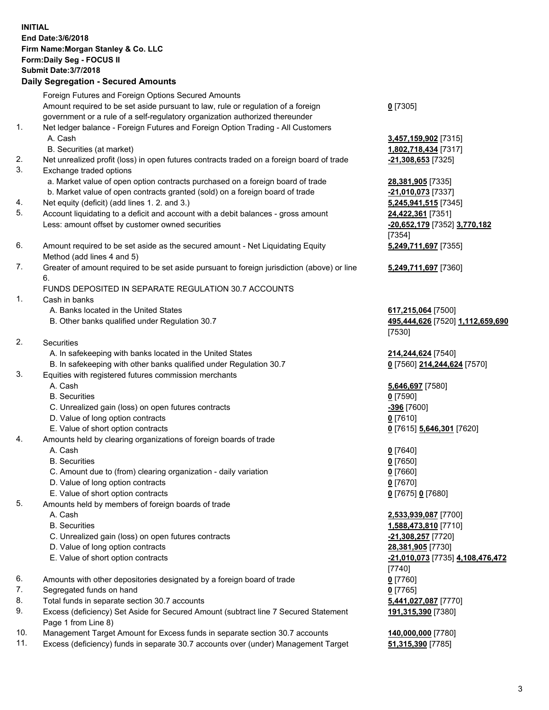| <b>INITIAL</b> |                                                                                             |                                  |
|----------------|---------------------------------------------------------------------------------------------|----------------------------------|
|                | End Date: 3/6/2018                                                                          |                                  |
|                | Firm Name: Morgan Stanley & Co. LLC                                                         |                                  |
|                | Form: Daily Seg - FOCUS II                                                                  |                                  |
|                | <b>Submit Date: 3/7/2018</b>                                                                |                                  |
|                | <b>Daily Segregation - Secured Amounts</b>                                                  |                                  |
|                | Foreign Futures and Foreign Options Secured Amounts                                         |                                  |
|                | Amount required to be set aside pursuant to law, rule or regulation of a foreign            | $0$ [7305]                       |
|                | government or a rule of a self-regulatory organization authorized thereunder                |                                  |
| 1.             | Net ledger balance - Foreign Futures and Foreign Option Trading - All Customers             |                                  |
|                | A. Cash                                                                                     | 3,457,159,902 [7315]             |
|                | B. Securities (at market)                                                                   | 1,802,718,434 [7317]             |
| 2.             | Net unrealized profit (loss) in open futures contracts traded on a foreign board of trade   | -21,308,653 [7325]               |
| 3.             | Exchange traded options                                                                     |                                  |
|                | a. Market value of open option contracts purchased on a foreign board of trade              | 28,381,905 [7335]                |
|                | b. Market value of open contracts granted (sold) on a foreign board of trade                | -21,010,073 [7337]               |
| 4.             | Net equity (deficit) (add lines 1.2. and 3.)                                                | 5,245,941,515 [7345]             |
| 5.             | Account liquidating to a deficit and account with a debit balances - gross amount           | 24,422,361 [7351]                |
|                | Less: amount offset by customer owned securities                                            | -20,652,179 [7352] 3,770,182     |
|                |                                                                                             | [7354]                           |
| 6.             | Amount required to be set aside as the secured amount - Net Liquidating Equity              | 5,249,711,697 [7355]             |
|                | Method (add lines 4 and 5)                                                                  |                                  |
| 7.             | Greater of amount required to be set aside pursuant to foreign jurisdiction (above) or line | 5,249,711,697 [7360]             |
|                | 6.                                                                                          |                                  |
|                | FUNDS DEPOSITED IN SEPARATE REGULATION 30.7 ACCOUNTS                                        |                                  |
| 1.             | Cash in banks                                                                               |                                  |
|                | A. Banks located in the United States                                                       | 617,215,064 [7500]               |
|                | B. Other banks qualified under Regulation 30.7                                              | 495,444,626 [7520] 1,112,659,690 |
|                |                                                                                             | [7530]                           |
| 2.             | Securities                                                                                  |                                  |
|                | A. In safekeeping with banks located in the United States                                   | 214,244,624 [7540]               |
|                | B. In safekeeping with other banks qualified under Regulation 30.7                          | 0 [7560] 214,244,624 [7570]      |
| 3.             | Equities with registered futures commission merchants                                       |                                  |
|                | A. Cash                                                                                     | 5,646,697 [7580]                 |
|                | <b>B.</b> Securities                                                                        | $0$ [7590]                       |
|                | C. Unrealized gain (loss) on open futures contracts                                         | -396 [7600]                      |
|                | D. Value of long option contracts<br>E. Value of short option contracts                     | $0$ [7610]                       |
| 4.             | Amounts held by clearing organizations of foreign boards of trade                           | 0 [7615] 5,646,301 [7620]        |
|                | A. Cash                                                                                     | $0$ [7640]                       |
|                | <b>B.</b> Securities                                                                        | $0$ [7650]                       |
|                | C. Amount due to (from) clearing organization - daily variation                             | $0$ [7660]                       |
|                | D. Value of long option contracts                                                           | $0$ [7670]                       |
|                | E. Value of short option contracts                                                          | 0 [7675] 0 [7680]                |
| 5.             | Amounts held by members of foreign boards of trade                                          |                                  |
|                | A. Cash                                                                                     | 2,533,939,087 [7700]             |
|                | <b>B.</b> Securities                                                                        | 1,588,473,810 [7710]             |
|                | C. Unrealized gain (loss) on open futures contracts                                         | -21,308,257 [7720]               |
|                | D. Value of long option contracts                                                           | 28,381,905 [7730]                |
|                | E. Value of short option contracts                                                          | -21,010,073 [7735] 4,108,476,472 |
|                |                                                                                             | [7740]                           |
| 6.             | Amounts with other depositories designated by a foreign board of trade                      | $0$ [7760]                       |
| 7.             | Segregated funds on hand                                                                    | $0$ [7765]                       |
| 8.             | Total funds in separate section 30.7 accounts                                               | 5,441,027,087 [7770]             |
| 9.             | Excess (deficiency) Set Aside for Secured Amount (subtract line 7 Secured Statement         | 191,315,390 [7380]               |
|                | Page 1 from Line 8)                                                                         |                                  |
|                |                                                                                             |                                  |

- 10. Management Target Amount for Excess funds in separate section 30.7 accounts **140,000,000** [7780]
- 11. Excess (deficiency) funds in separate 30.7 accounts over (under) Management Target **51,315,390** [7785]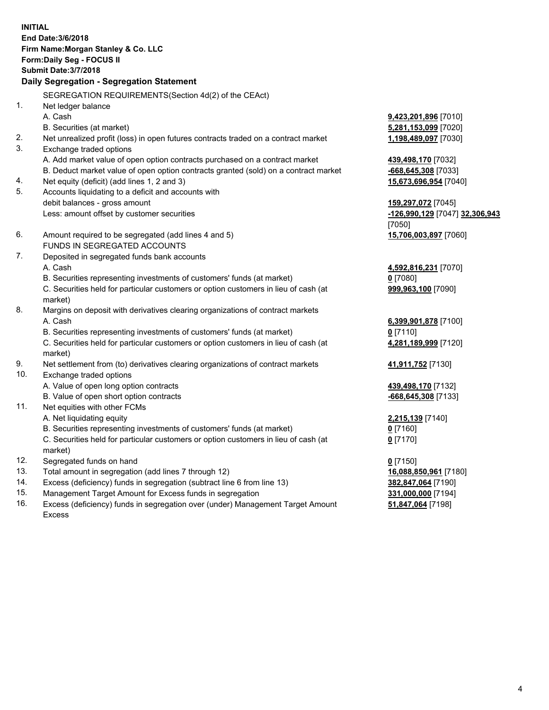**INITIAL End Date:3/6/2018 Firm Name:Morgan Stanley & Co. LLC Form:Daily Seg - FOCUS II Submit Date:3/7/2018 Daily Segregation - Segregation Statement** SEGREGATION REQUIREMENTS(Section 4d(2) of the CEAct) 1. Net ledger balance A. Cash **9,423,201,896** [7010] B. Securities (at market) **5,281,153,099** [7020] 2. Net unrealized profit (loss) in open futures contracts traded on a contract market **1,198,489,097** [7030] 3. Exchange traded options A. Add market value of open option contracts purchased on a contract market **439,498,170** [7032] B. Deduct market value of open option contracts granted (sold) on a contract market **-668,645,308** [7033] 4. Net equity (deficit) (add lines 1, 2 and 3) **15,673,696,954** [7040] 5. Accounts liquidating to a deficit and accounts with debit balances - gross amount **159,297,072** [7045] Less: amount offset by customer securities **-126,990,129** [7047] **32,306,943** [7050] 6. Amount required to be segregated (add lines 4 and 5) **15,706,003,897** [7060] FUNDS IN SEGREGATED ACCOUNTS 7. Deposited in segregated funds bank accounts A. Cash **4,592,816,231** [7070] B. Securities representing investments of customers' funds (at market) **0** [7080] C. Securities held for particular customers or option customers in lieu of cash (at market) **999,963,100** [7090] 8. Margins on deposit with derivatives clearing organizations of contract markets A. Cash **6,399,901,878** [7100] B. Securities representing investments of customers' funds (at market) **0** [7110] C. Securities held for particular customers or option customers in lieu of cash (at market) **4,281,189,999** [7120] 9. Net settlement from (to) derivatives clearing organizations of contract markets **41,911,752** [7130] 10. Exchange traded options A. Value of open long option contracts **439,498,170** [7132] B. Value of open short option contracts **-668,645,308** [7133] 11. Net equities with other FCMs A. Net liquidating equity **2,215,139** [7140] B. Securities representing investments of customers' funds (at market) **0** [7160] C. Securities held for particular customers or option customers in lieu of cash (at market) **0** [7170] 12. Segregated funds on hand **0** [7150] 13. Total amount in segregation (add lines 7 through 12) **16,088,850,961** [7180] 14. Excess (deficiency) funds in segregation (subtract line 6 from line 13) **382,847,064** [7190]

- 15. Management Target Amount for Excess funds in segregation **331,000,000** [7194]
- 16. Excess (deficiency) funds in segregation over (under) Management Target Amount Excess

**51,847,064** [7198]